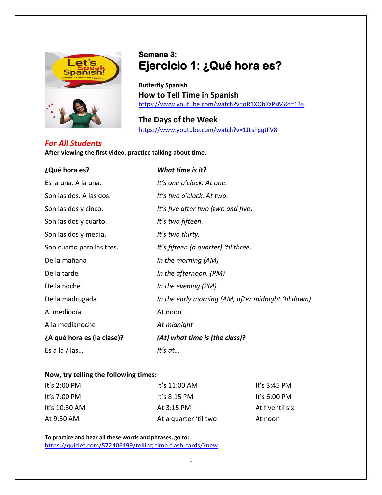

# **Semana 3: Ejercicio 1: ¿Qué hora es?**

**Butterfly Spanish How to Tell Time in Spanish** <https://www.youtube.com/watch?v=oR1XOb7zPsM&t=13s>

**The Days of the Week** <https://www.youtube.com/watch?v=1JLsFpqtFV8>

## *For All Students*

## **After viewing the first video. practice talking about time.**

| ¿Qué hora es?              | What time is it?                                    |
|----------------------------|-----------------------------------------------------|
| Es la una. A la una.       | It's one o'clock. At one.                           |
| Son las dos. A las dos.    | It's two o'clock. At two.                           |
| Son las dos y cinco.       | It's five after two (two and five)                  |
| Son las dos y cuarto.      | It's two fifteen.                                   |
| Son las dos y media.       | It's two thirty.                                    |
| Son cuarto para las tres.  | It's fifteen (a quarter) 'til three.                |
| De la mañana               | In the morning (AM)                                 |
| De la tarde                | In the afternoon. (PM)                              |
| De la noche                | In the evening (PM)                                 |
| De la madrugada            | In the early morning (AM, after midnight 'til dawn) |
| Al mediodía                | At noon                                             |
| A la medianoche            | At midnight                                         |
| ¿A qué hora es (la clase)? | (At) what time is (the class)?                      |
| Es a la / las              | It's at                                             |

#### **Now, try telling the following times:**

| It's 2:00 PM  | It's $11:00$ AM       | It's $3:45$ PM   |
|---------------|-----------------------|------------------|
| It's 7:00 PM  | It's $8:15$ PM        | It's $6:00$ PM   |
| It's 10:30 AM | At 3:15 PM            | At five 'til six |
| At 9:30 AM    | At a quarter 'til two | At noon          |

**To practice and hear all these words and phrases, go to:** <https://quizlet.com/572406499/telling-time-flash-cards/?new>